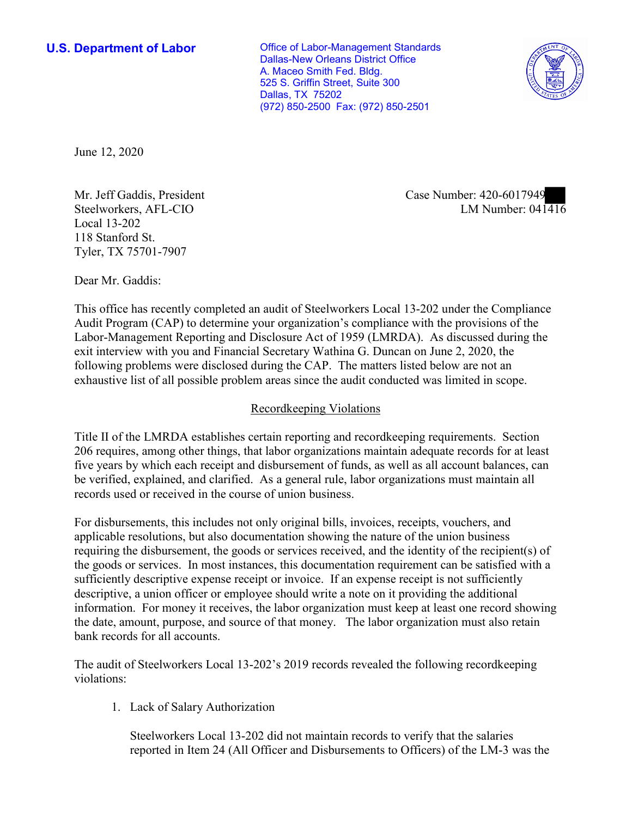**U.S. Department of Labor Conservative Conservative Conservative Conservative U.S.** Department of Labor Dallas-New Orleans District Office A. Maceo Smith Fed. Bldg. 525 S. Griffin Street, Suite 300 Dallas, TX 75202 (972) 850-2500 Fax: (972) 850-2501



June 12, 2020

Steelworkers, AFL-CIO Local 13-202 118 Stanford St. Tyler, TX 75701-7907

Dear Mr. Gaddis:

 This office has recently completed an audit of Steelworkers Local 13-202 under the Compliance Audit Program (CAP) to determine your organization's compliance with the provisions of the Labor-Management Reporting and Disclosure Act of 1959 (LMRDA). As discussed during the exit interview with you and Financial Secretary Wathina G. Duncan on June 2, 2020, the following problems were disclosed during the CAP. The matters listed below are not an exhaustive list of all possible problem areas since the audit conducted was limited in scope.

## Recordkeeping Violations

 Title II of the LMRDA establishes certain reporting and recordkeeping requirements. Section 206 requires, among other things, that labor organizations maintain adequate records for at least five years by which each receipt and disbursement of funds, as well as all account balances, can be verified, explained, and clarified. As a general rule, labor organizations must maintain all records used or received in the course of union business.

For disbursements, this includes not only original bills, invoices, receipts, vouchers, and applicable resolutions, but also documentation showing the nature of the union business requiring the disbursement, the goods or services received, and the identity of the recipient(s) of the goods or services. In most instances, this documentation requirement can be satisfied with a sufficiently descriptive expense receipt or invoice. If an expense receipt is not sufficiently descriptive, a union officer or employee should write a note on it providing the additional information. For money it receives, the labor organization must keep at least one record showing the date, amount, purpose, and source of that money. The labor organization must also retain bank records for all accounts.

The audit of Steelworkers Local 13-202's 2019 records revealed the following recordkeeping violations:

1. Lack of Salary Authorization

Steelworkers Local 13-202 did not maintain records to verify that the salaries reported in Item 24 (All Officer and Disbursements to Officers) of the LM-3 was the

LM Number:  $041416$ Mr. Jeff Gaddis, President Case Number: 420-6017949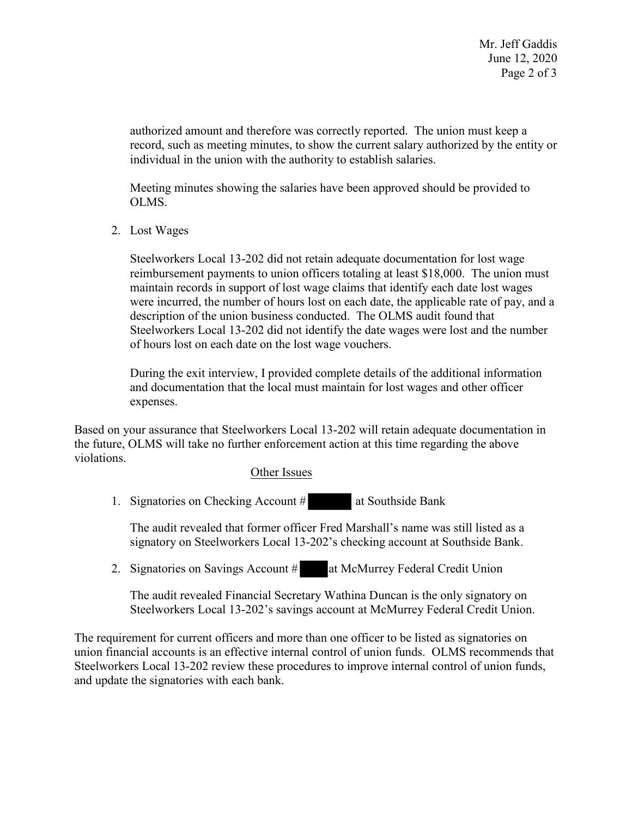authorized amount and therefore was correctly reported. The union must keep a record, such as meeting minutes, to show the current salary authorized by the entity or individual in the union with the authority to establish salaries.

Meeting minutes showing the salaries have been approved should be provided to OLMS.

2. Lost Wages

 Steelworkers Local 13-202 did not retain adequate documentation for lost wage were incurred, the number of hours lost on each date, the applicable rate of pay, and a Steelworkers Local 13-202 did not identify the date wages were lost and the number reimbursement payments to union officers totaling at least \$18,000. The union must maintain records in support of lost wage claims that identify each date lost wages description of the union business conducted. The OLMS audit found that of hours lost on each date on the lost wage vouchers.

During the exit interview, I provided complete details of the additional information and documentation that the local must maintain for lost wages and other officer expenses.

 Based on your assurance that Steelworkers Local 13-202 will retain adequate documentation in the future, OLMS will take no further enforcement action at this time regarding the above violations.

## Other Issues

1. Signatories on Checking Account # at Southside Bank

 $\frac{\text{s}}{\text{er Fr}}$ The audit revealed that former officer Fred Marshall's name was still listed as a

2. Signatories on Savings Account # at McMurrey Federal Credit Union

signatory on Steelworkers Local 13-202's checking account at Southside Bank.<br>
Signatories on Savings Account # at McMurrey Federal Credit Union<br>
The audit revealed Financial Secretary Wathina Duncan is the only signatory o The audit revealed Financial Secretary Wathina Duncan is the only signatory on Steelworkers Local 13-202's savings account at McMurrey Federal Credit Union.

The requirement for current officers and more than one officer to be listed as signatories on union financial accounts is an effective internal control of union funds. OLMS recommends that Steelworkers Local 13-202 review these procedures to improve internal control of union funds, and update the signatories with each bank.